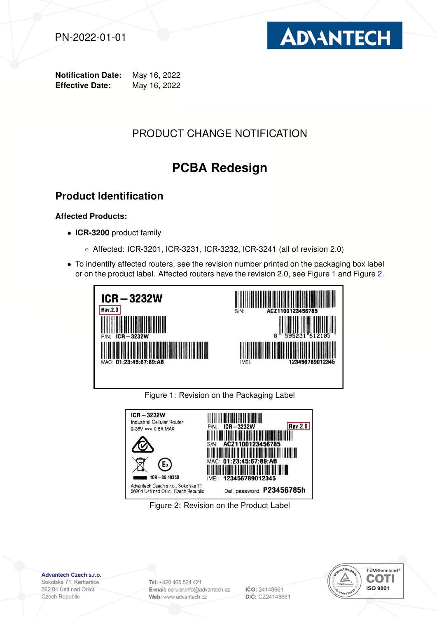



Notification Date: May 16, 2022 Effective Date: May 16, 2022

# PRODUCT CHANGE NOTIFICATION

# PCBA Redesign

## Product Identification

#### Affected Products:

- ICR-3200 product family
	- Affected: ICR-3201, ICR-3231, ICR-3232, ICR-3241 (all of revision 2.0)
- To indentify affected routers, see the revision number printed on the packaging box label or on the product label. Affected routers have the revision 2.0, see Figure [1](#page-0-0) and Figure [2.](#page-0-1)



<span id="page-0-0"></span>Figure 1: Revision on the Packaging Label



<span id="page-0-1"></span>Figure 2: Revision on the Product Label

Advantech Czech s.r.o.

Sokolská 71, Kerhartice 562 04 Ústí nad Orlicí Czech Republic

Tel: +420 465 524 421 E-mail: cellular.info@advantech.cz Web: www.advantech.cz

IČO: 24148661 DIČ: CZ24148661